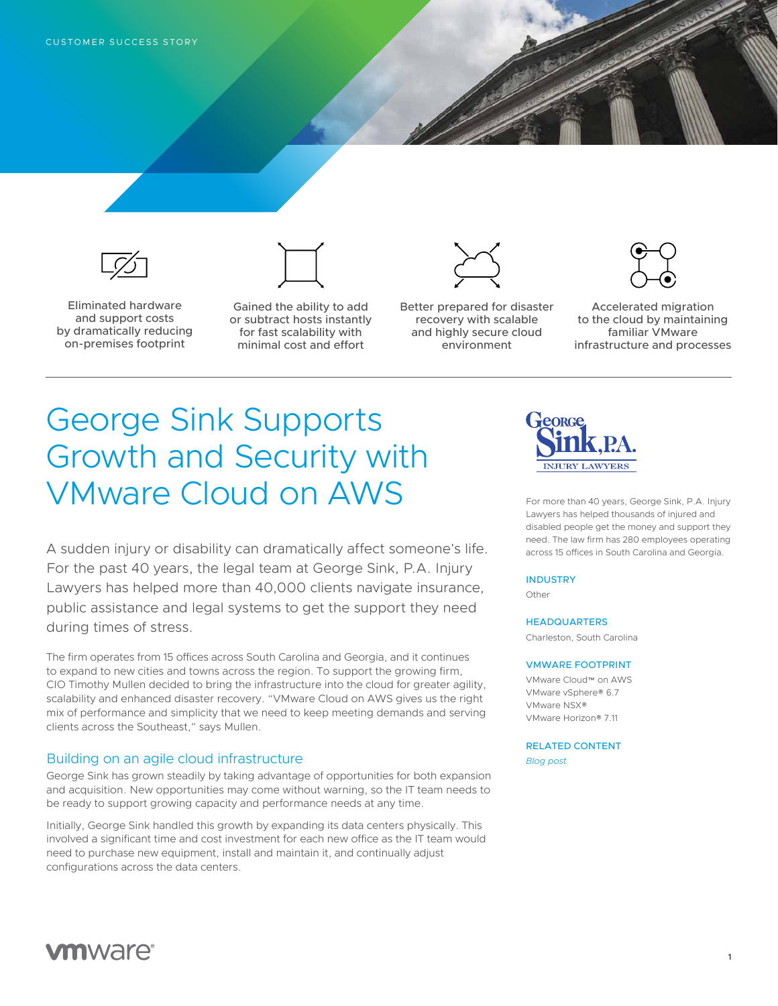

Eliminated hardware and support costs by dramatically reducing on-premises footprint



Gained the ability to add or subtract hosts instantly for fast scalability with minimal cost and effort



Better prepared for disaster recovery with scalable and highly secure cloud environment



Accelerated migration to the cloud by maintaining familiar VMware infrastructure and processes

# George Sink Supports Growth and Security with VMware Cloud on AWS

A sudden injury or disability can dramatically affect someone's life. For the past 40 years, the legal team at George Sink, P.A. Injury Lawyers has helped more than 40,000 clients navigate insurance, public assistance and legal systems to get the support they need during times of stress.

The firm operates from 15 offices across South Carolina and Georgia, and it continues to expand to new cities and towns across the region. To support the growing firm, CIO Timothy Mullen decided to bring the infrastructure into the cloud for greater agility, scalability and enhanced disaster recovery. "VMware Cloud on AWS gives us the right mix of performance and simplicity that we need to keep meeting demands and serving clients across the Southeast," says Mullen.

## Building on an agile cloud infrastructure

George Sink has grown steadily by taking advantage of opportunities for both expansion and acquisition. New opportunities may come without warning, so the IT team needs to be ready to support growing capacity and performance needs at any time.

Initially, George Sink handled this growth by expanding its data centers physically. This involved a significant time and cost investment for each new office as the IT team would need to purchase new equipment, install and maintain it, and continually adjust configurations across the data centers.



For more than 40 years, George Sink, P.A. Injury Lawyers has helped thousands of injured and disabled people get the money and support they need. The law firm has 280 employees operating across 15 offices in South Carolina and Georgia.

### **INDUSTRY**

Other

**HEADQUARTERS** 

Charleston, South Carolina

#### VMWARE FOOTPRINT

VMware Cloud™ on AWS VMware vSphere® 6.7 VMware NSX® VMware Horizon® 7.11

RELATED CONTENT

*[Blog post](https://cloud.vmware.com/community/2019/01/17/george-sink-law-firm-makes-disaster-recovery-simple-vmware-cloud-aws/)*

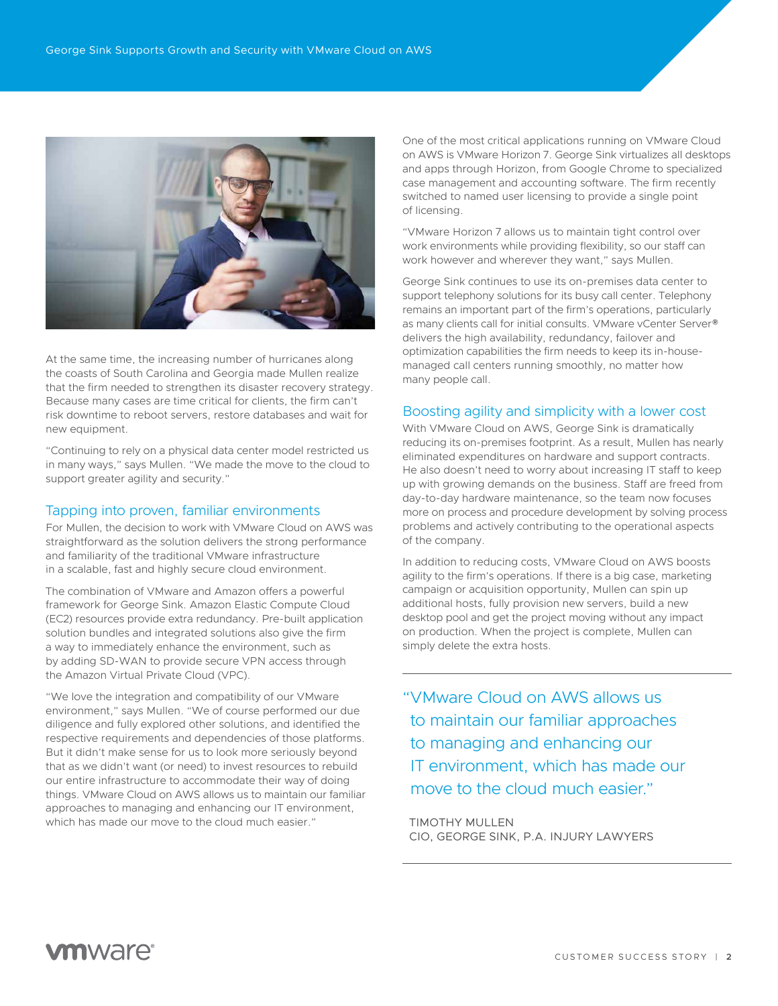

At the same time, the increasing number of hurricanes along the coasts of South Carolina and Georgia made Mullen realize that the firm needed to strengthen its disaster recovery strategy. Because many cases are time critical for clients, the firm can't risk downtime to reboot servers, restore databases and wait for new equipment.

"Continuing to rely on a physical data center model restricted us in many ways," says Mullen. "We made the move to the cloud to support greater agility and security."

## Tapping into proven, familiar environments

For Mullen, the decision to work with VMware Cloud on AWS was straightforward as the solution delivers the strong performance and familiarity of the traditional VMware infrastructure in a scalable, fast and highly secure cloud environment.

The combination of VMware and Amazon offers a powerful framework for George Sink. Amazon Elastic Compute Cloud (EC2) resources provide extra redundancy. Pre-built application solution bundles and integrated solutions also give the firm a way to immediately enhance the environment, such as by adding SD-WAN to provide secure VPN access through the Amazon Virtual Private Cloud (VPC).

"We love the integration and compatibility of our VMware environment," says Mullen. "We of course performed our due diligence and fully explored other solutions, and identified the respective requirements and dependencies of those platforms. But it didn't make sense for us to look more seriously beyond that as we didn't want (or need) to invest resources to rebuild our entire infrastructure to accommodate their way of doing things. VMware Cloud on AWS allows us to maintain our familiar approaches to managing and enhancing our IT environment, which has made our move to the cloud much easier."

One of the most critical applications running on VMware Cloud on AWS is VMware Horizon 7. George Sink virtualizes all desktops and apps through Horizon, from Google Chrome to specialized case management and accounting software. The firm recently switched to named user licensing to provide a single point of licensing.

"VMware Horizon 7 allows us to maintain tight control over work environments while providing flexibility, so our staff can work however and wherever they want," says Mullen.

George Sink continues to use its on-premises data center to support telephony solutions for its busy call center. Telephony remains an important part of the firm's operations, particularly as many clients call for initial consults. VMware vCenter Server® delivers the high availability, redundancy, failover and optimization capabilities the firm needs to keep its in-housemanaged call centers running smoothly, no matter how many people call.

## Boosting agility and simplicity with a lower cost

With VMware Cloud on AWS, George Sink is dramatically reducing its on-premises footprint. As a result, Mullen has nearly eliminated expenditures on hardware and support contracts. He also doesn't need to worry about increasing IT staff to keep up with growing demands on the business. Staff are freed from day-to-day hardware maintenance, so the team now focuses more on process and procedure development by solving process problems and actively contributing to the operational aspects of the company.

In addition to reducing costs, VMware Cloud on AWS boosts agility to the firm's operations. If there is a big case, marketing campaign or acquisition opportunity, Mullen can spin up additional hosts, fully provision new servers, build a new desktop pool and get the project moving without any impact on production. When the project is complete, Mullen can simply delete the extra hosts.

"VMware Cloud on AWS allows us to maintain our familiar approaches to managing and enhancing our IT environment, which has made our move to the cloud much easier."

TIMOTHY MULLEN CIO, GEORGE SINK, P.A. INJURY LAWYERS